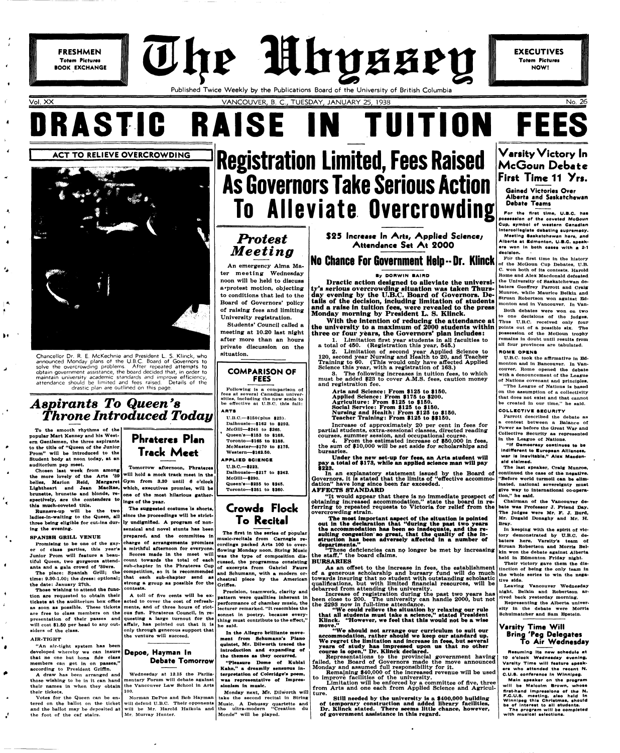**FRESHMEN Totem Pictures BOOK EXCHANGE**  The Mhyssey

t

## **No Chance For Government Help -- Dr. Klinck**

#### **By DORWIN BAIRD**

Published Twice Weekly by the Publications Board of the University of British Columbia

Vol. XX VANCOUVER, B. C, TUESDAY, JANUARY 25, 1938 No. 26

# **DRASTIC RAISE IN TUITION FEES**

**EXECUTIVES Totem Pictures** 

NOW!

**ACT TO RELIEVE OVERCROWDING** 



Chancellor Dr. R. E. McKechnie and President L. S. Klinck, who announced Monday plans of the U.B.C. Board of Governors to solve the overcrowding problems. After repeated attempts to **obtain** government assistance, the board decided that, in order to maintain university academic standards and improve efficiency, attendance should be limited and fees raised. Details of the drastic plan are outlined on this page.

## $\overline{A$ spirants To Queen<sup>'</sup>s *Throne Introduced Today*

**To the smooth rhythms of the popular Mart Kenney and his Western Gentlemen, the three aspirants to the title of "Queen ot the Junior Prom" will be introduced to the Student body at noon today, at an auditorium pep meet.** 

**Chosen last week from among the more lovely of the Arts '39 spectively, are the contendere to thla much-coveted title.** 

## **Phrateres Plan Track Meet**

**Runners-up will be the two** 

#### **SPANISH ORILL VENUE**

**The place: Spanish Grill; the competition, so it is recommended time: 9.30-1.00; the dress: optional; that each sub-chapter send as the date: January 27th.** 

**belles, Marion Reid, Margaret Gym from 8.30 until 6 o'clock Lightheart and Jean MacRae, which, executives promise, will be brunette, brunette and blonde, re-one of the most hilarious gather-Tomorrow afternoon, Phrateres will hold a mock track meet in the ings of the year.** 

#### **AIR-TIGHT**

 $\bullet$ 

ø

**ladies-in-waiting to the Queen, all since the proceedings will be strictthree being eligible for cut-ins dur-ly undignified. A program of noning the evening. sensical and novel stunts has been** 

**"An air-tight system has been developed whereby we can insure that no one but bona fide class members can get in on passes," according to President Griffln.** 

**Promising to be one ot the gay**er of class parties, this year's a mirthful afternoon for everyone. **Junior Prom will feature a beauants and a gala crowd of '30ers. charge of arrangements promises sub-chapter In the Phrateres Cup** 

**Those wishing to attend the funocontests.** 

**tion are requested to obtain their tickets at the auditorium box offlce as soon as possible. These tickets ments, and of three hours of riot**are free to class members on the ous fun. Phrateres Council, in re**presentation of their passes and questing a large turnout for the will cost \$1.50 per head to any out-affair, has pointed out that it is siders of the class. A toll of five cents will be exacted to cover the cost of refreshonly through generous support that the venture will succeed.** 

**The suggested costume is shorts,** 

prepared, and the committee in

In the Allegro brilliante move**ment from Schumann's Piano quintet, Mr. Dilworth traced the introduction and expanding of the themes as they occurred.** 

**A draw has been arranged and those wishing to be in it can hand mentary Forum will debate against**  their names in when they obtain the Vancouver Law School in Arts **their tickets. Wednesday at 12.15 the Parlia-100.** 

**\$25 Increase In Arts, Applied Science/**  Attendance Set At 2000

**Scores made in the meet will** 

**Votes for the Queen can be entered on the ballot on the ticket**  and the ballot may be deposited at will be Mr. Harold Haikola and the ultra-modern "Creation du **the foot of the caf stairs. Norman DePoe and Bob Hayman will defend U.B.C. Their opponents Mr. Murray Hunter.** 

**strong a group aa possible for the** 

## **Depoe, Hayman In Debate Tomorrow**

**Registration Limited, Fees Raised As Governors Take Serious Action To Alleviate Overcrowding** 

## *JProtest Meeting*

An emergency Alma Mater meeting Wednesday noon will be held to discuss a'protest motion, objecting to conditions that led to the Board of Governors' policy of raising fees and limiting University registration.

> The most important aspect of the situation is pointed **out In the declaration that "during the past two years the accommodation has been so inadequate, and the resulting congestion' so great, that the quality of the Instruction has been adversely affected in a number of departments."**

Students' Council called a meeting at 10.20 last night after more than an hours private discussion on the situation.

## **COMPARISON OF FEES**

**Following ls a comparison of fees at several Canadian universities, Including the new scale to be effective at U.B.C. this fall:** 

> As an offset to the increase in fees, the establishment tinction of being the only team in of a generous scholarship and bursary fund will do much towards insuring that no student with outstanding scholastic qualifications, but with limited financial resources, will be

## **ARTS**

**"We could relieve the situation** by **relaxing our rule that all studenta must take a science," stated President Klinck. "However, we feel that this would not be a wise**  move.

**U.B.C—\$160(plus \$23). Dalhousie—\$162 to \$292. McGiil—\$2.5 to \$266. Queen's—\$153 to \$168. Toronto—\$166 to \$188. McMaster—\$170 to \$176. Western—\$162.60.** 

## **APPLIED SCIENCE**

**U.B.C.—\$223. Dalhousle—\$217 to \$242. McOill—\$290. Queen's—\$236 to \$246. Toronto—\$261 to \$260.** 

## **Crowds Flock**

## **To Recital**

tiful Queen, two gorgeous attend- count towards the total of each cussed, the programme consisting **The first in the series of popular music-recitala from Carnegie recordings packed Arts 100 to overflowing Monday noon. String Music was the type of composition disof excerpts from Gabriel Faure and Schumann, with a modern orchestral piece by the American**  Griffes.

> Limitation will be enforced by a committee of five, three from Arts and one each from Applied Science and Agriculture.

**Precision, teamwork, clarity and pattern were qualities inherent in performance of chamber music, the lecturer remarked. "It resembles the sonnet in poetry, because everything must contribute to the effect," he said.** 

For the first time, U.B.C. has **possession of the oovetsd McGoun Cup, symbol of western Canadian Intercollegiate dsbating supremacy. Meeting Saskatchewan here, and Alberta at Bdmonton, U.B.C. speaksre won In both easss with a 2-1 decision.** 

**"Pleasure Dome of Kublal Kahn," a dreamily sensuous interpretation of Coleridge's poem, was representative of Impressionism in music.** 

**Monday next, Mr. Dilworth will take the second recital in String Music. A Debussy quartette and Monde" will be played.** 

**Dractic action designed to alleviate the university's serious overcrowding situation was taken Thursday evening by the U.B.C. Board of Governors. Details of the decision, including limitation of students and a raise in tuition fees, were revealed to the press Monday morning by President L. S. Klinck.** 

**With the intention of reducing the attendance at the university to a maximum of 2000 students within three or four years, the Governors' plan includes:** 

1. Limitation flrst year students in all faculties to a total of 450. (Registration this year, 545.)

2. Limitation of second year Applied Science to 120, second year Nursing and Health to 20, and Teacher Training to 60. (This would only have affected Applied Science this year, with a registration of 163.)

8. The following increases in tuition fees, to which must be added \$23 to cover A.M.S. fees, caution money and registration fee.

Arts and Science: From \$125 to \$150. Applied Science: From \$175 to \$200. Agriculture: From \$125 to \$150. Social Service: From \$125 to \$150. Nursing and Health: From \$125 to \$150. Teacher Training: From \$125 to \$\$150.

Increase of approximately 20 per cent in fees for partial students, extra-sessional classes, directed reading courses, summer session, and occupational course.

4. From the estimated increase of \$50,000 in fees, the sum of \$10,000 will be set aside for scholarships and bursaries.

**Under the new set-up for fees, an Arts student will pay a total of \$173, while an applied science man will pay \$223.** 

In an explanatory statement issued by the Board of Governors, it is stated that the limits of "effective accommodation" have long since been far exceeded. **AFFECTS STANDARD** 

"It would appear that there is no immediate prospect of obtaining increased accommodation," state the board in referring to repeated requests to Victoria for relief from the bate was Professor J. Friend Day. crowding strain.

**Varsity Victory In McGoun Debate**  First Time 11 Yrs.

"These deficiencies can no longer be met by increasing the staff," the board claims.

#### **BURSARIES**

debarred from attending the university. Increase of registration during the past two years has been close to 200. The university can handle 2000, but not the 2293 now in full-time attendance.

**"We should not arrange our curriculum to suit our accommodation, rather should we keep our standard up. We regret the limitation and increase in fees, but several years of study has impressed upon us that no other course is open," Dr. Klinck declared.** 

Representations to the provincial government having failed, the Board of Governors made the move announced Monday and assumed full responsibility for it.

Remaining \$40,000 of the increased revenue will be used to improve facilities of the university.

Still needed by the university is a \$400,000 building of temporary construction and added library facilities, Dr. Klinck stated. There seems little chance, however, of government assistance in this regard.

**Gained Victories Over Alberta and Saskatchewan Debate Teams** 

**For the first time ln the history of the McOoun Cup Debates, U.B. C. won both of its contests. Harold Rome and Alex Macdonald defeated the University of Saskatchewan debaters Geoffrey Parrott and Craig Munroe, while Maurice Belkin and**  Struan Robertson won against Ed**monton and in Vancouver. In Van-**

**Both debates were won on two to one decisions of the Judges. Thus U.B.C. received only four points out ot a possible six. The possession of the McOoun trophy remains in doubt until results from all four provinces are tabulated.** 

#### **ROMB OPENS**

**U.B.C. took the affirmative in Edmonton and ln Bancouver. In Vancouver, Rome opened the debate with a denouncement of the League of Nations covenant and principles. "The League of Nations is based on the assumption of a collectivity that does not exist and that cannot be created in our time," he said.** 

### **COLLECTIVE SECURITY**

**Parrott described the debate as a contest between a Balance of Power as before the Great War and Collective Security as represented in the League of Nations.** 

**"If Democracy contlnusa te be indifferent to Buropean Alllaness,**  war is inevitable," Alex Macdon**ald claimed.** 

**The last speaker, Craig Munroe, continued the case of the negative. "Before world turmoil can be eliminated, national sovereignty must give way to International oo-operation," he said.** 

**Chairman of the Vancouver de-The judges were Mr. F. J. Burd, Mr. Dugald Donaghy and Mr. H. Bray. In keeping with the spirit of victory demonstrated by U.B.C. debaters here, Varsity's team ot Struan Robertson and Morris Belkin won the debate against Alberta held in Bdmonton Friday nlgbt.** 

**Their victory gave them the disthe whole series to win the negative side.** 

**Leaving Vancouver Wednesday night, Belkin and Robertson arrived back yesterday morning.** 

**Representing the Alberta university in the debate were Morris Schulmatcher and Sam Epstein.** 

## **Varsity Time Will Bring 'Peg Delegates To Air Wednesday**

**Resuming Its new schedule at 10 o'clock Wodneeday evening, Varaity Time will feature speakers who attended the recent N. C.U.8. conference in Winnipeg.** 

**Main apeaker on the program will be Malcolm Brown, whoae first-hand Impressions of the N. F.C.U.8. meeting, alao held In Winnipeg this Christmas, should be of Interest to all atudenta.** 

**The program will be completed with musioal selections.**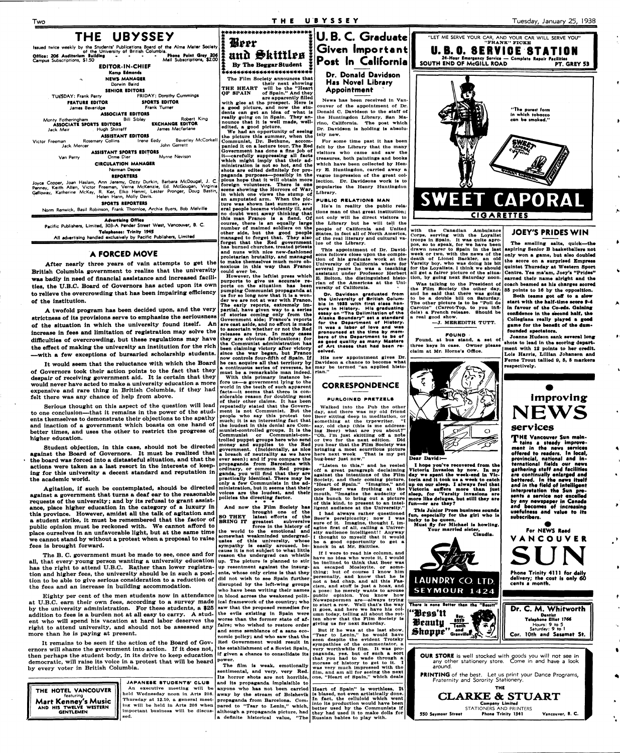Agitation, if such be contemplated, should be directed ministration, but it seems that their against a government that turns a deaf ear to the reasonable voices are the loudest, and<br>against a government that turns a deaf ear to the reasonable voices are the loudest, and requests of the university; and by its refusal to grant assistance, place higher education in the category of a luxury in this province. However, amidst all the talk of agitation and a student strike, it must be remembered that the factor of **SO THEY** latest efforts of the a student subversive public opinion must be reckoned with. We cannot afford to public opinion must be reckoned with. We cannot allota to the history of the matery of place ourselves in an unfavorable light, but at the same time time the world to the emotional and place ourselves in an unfavorable light, but at the same time we world to the line and **the extended** undergrad-<br>we cannot stand by without a protest when a proposal to raise same a this university. whose fees is brought forward.

increase in fees and limitation of registration may solve the difficulties of overcrowding, but these regulations may have the effect of making the university an institution for the rich

The B. C. government must be made to see, once and for all, that every young person wanting a university education has the right to attend U.B.C. Rather than lower registra- up resentment against the insurgtion and higher fees, the university should be in such a posi- ents, whose only crime is that they tion to be able to give serious consideration to a reduction of the fees and an inerease in building accommodation.

Eighty per cent of the men students now in attendance at U.B.C. earn their own fees, according to a survey made by the university administration. For these students, a \$25 saw that the proposed remedies for addition to fees is a burden not at all easy to carry. A stud- the evils existing in Spain were ent who will spend his vacation at hard labor deserves the worse than the former state of afright to attend university, and should not be assessed any more than he is paying at present.

—with a few exceptions of bursaried scholarship students. It would seem that the reluctance with which the Board of Governors took their action points to the fact that they despair of receiving government aid. It is certain that they would never have acted to make a university education a more

It remains to be seen if the action of the Board of Gov- Red Government would result in ernors will shame the government into action. If it does not, the establishment of a Soviet Spain, then perhaps the student body, in its drive to keep education **if given a chance to consolidate its**  democratic, will raise its voice in a protest that will be heard  $\left| \begin{array}{c} \text{power.} \\ \text{m} \end{array} \right|$ by every voter in British Columbia.

expensive and rare thing in British Columbia, if they had felt there was any chance of help from above.

Serious thought on this aspect of the question will lead to one conclusion—that it remains in the power of the students themselves to demonstrate their objections to the apathy and inaction of a government which boasts on one hand of better times, and uses the other to restrict the progress of higher education.

Student objection, in this case, should not be directed against the Board of Governors. It must be realized that the board was forced into a distasteful situation, and that the **ever seen**); and if you compare the bug-bear just now." actions were taken as a last resort in the interests of keep-**propaganda** from Barcelona with actions were taken as a last resort in the interests of keepactions were taken as a last resort in the interests of Keep<sup>1</sup> ordinary, or common Red propa-<br>ing for this university a decent standard and reputation in ganda, you will find that they are the academic world.

**With this primary instance beformally** instance be-<br>*fore us—a government* lying to the **world in the teeth of such apparent**  world in the teeth of such apparent **siderable reason for doubting most siderable reason for doubting most** of their other claims. It has been repeatedly stated that the Government is not Communist. But the people who say this protest too much; it is an interesting fact that the loudest in this denial are Communist-controlled groups. It is the **Communist or Communist-con**trolled puppet groups here who send money and supplies to the Red government. (Incidentally, as nice a breach of neutrality as we have

**THE HOTEL VANCOUVER**  featuring Mart Kenney's Music **AND HIS TWELVE WESTERN GENTLEMEN sed.** 

**JAPANESE STUDENTS' CLUB**  An executive meeting will be anyone who has not been carried **Heart of Spain**" is worthless. It **Important business will be discus-**

**Walked into the Pub the other day, and there was my old friend Beer sitting deep in meditation, or**  something at the typewriter. **say, old chap (this ls me addressing Beer) what are you about?" "Oh, I'm just skittling off a note or two tor the next edition. Did you hear that the Film Society was bringing a most scurrilous picture That is my pet** 



**they are obvious fabrications; for the Communist administration has been claiming victory after victory since the war began, but Franco** 

held Wednesday noon in Arts 208. away by the stream of Bolshevik is biased, not even artistically done. **Thursday at 12.10, a general meet-propaganda from Barcelona. Com-In fact, the celluloid which went**  ing will be held in Arts 208 when **pared to "Tsar to Lenin,"** which, into its production would have been ing will be held in Arts 208 when **pared to "Tsar to Lenin**," which, better used by the Community is **although a propaganda picture, had they had used it to make dolls for**  a definite historical value, "The Russian babies to play with. **better used by the Communists if** 

**• • »** 

**And now the Film Society has** 

**PRINTING** of the best. Let us print your Dance Programs, Fraternity and Sorority Stationery.

**BRING IT greatest subversive somewhat weakhinded undergraduates of this university, whose**  cause it is not subject to what little reason the undergrad can whistle up. The picture is planned to stir did not wish to see Spain further disrupted by the left-wing groups who have been writing their names in blood across the weakened polit**in blood across the weakened political framework of the country; who fairs; who wished to restore order and some semblance of a sane eco-**

ganda, you will find that they are practically identical. There may be only a few Communists in the ad-

**nomic policy; and who saw that the power.** 

**now controls four-fifth of Spain. If he can acquire all that territory by a** continuous series of reverses, he may be termed "an applied histo**must be a remarkable man indeed. rian." His new appointment gives Dr. Davidson a chance to become what** 

**The film is weak, emotionally sentimental, and very, very Red. Its horror shots are not horrible, and its propaganda implaisible to** 

**brought one of the I had alwaya rather questioned ligent audience at the University."** 

**pronounced at tho time by membore of tho Department to be ef aa good quality aa many Masters of Art thesee that had boon received.** 

## **CORRESPONDENCE**

#### **PURLOINED PRETZELS**

**Beer's persiplcacity; now I was sure of lt. Imagine, thought I, imagine flrst of all, calling a University audience Intelligent!! Anyway I thought to myself that lt would be a good opportunity to get a knock in at Mr. Skittles.** 

**It I were to read his column, and have no Idea who wrote it, I would be inclined to think that Beer was an escaped Mosleylte, or something; but of course I know him personally, and know that he is not a bad chap, and all this Fascism, and stuff is just a hoax, and a pose: he merely wants to arouse**  public opinion. You know **Newspapermen are—always trying to start a row. Well that's the way lt goes, and here we have his column today, telling all about the rotten show that the Film Society is giving us for next Saturday.** 

**"Listen to this," and he reeled off a great paragraph declaiming against the intentions of the Film Society, and their coming picture, "Heart of Spain." "Imagine," and**  poor Beer was frothing at the **this bunch to bring out a picture of this kind, to present to an intel-fun—or are they?** 

**But if he was at the last show, "Tsar to Lenin," he would have seen despite the evident Trotsky sympathies of the commentator, a very worthwhile film. It was propaganda, yes, but of such a sort that you had to wade through a morass of history to get to it. I was very much impressed with the film, and am all for seeing the next one, "Heart of Spain," which deals** 

**mouth, "Imagine the audacity of sleep, for 'Varaity Invasions are day we spent the week-end In Victoria and it took us a week to catch up on our aleep. I alwaya feel that Victoria euffera more than juat more like deluges, but still they are** 

**claim at Mr. Home's Offlce.** 



**I hope you've recovered from the Victoria Invasion by now. In my** 

**Thia Junior Prom business sounds fun, especially for the girl who ia** 

 $\bigcirc$ 

T

**lucky to be queen. Must fly for Michael is howling.** 

**Your married slater, Claudia.** 

**Found, at bus stand, a set of three keys in case. Owner please Joanne Hudson sank several long ahota to lead in the scoring department with 12 pointa to her credit. Lois Harris, Lillian Johanson and Feme Trout tallied 9, 6, 5 markera respectively.** 







**f f ,HE Vancouver Sun maln-x tains a steady improvement in the news services of farad to readers. In local, provincial, national and international fields our nawi gathering staff and facilities an continually enlarged and battered. In the news itself and in tha field of intelligent interpretation the Sun presents a service not excelled by any newspaper in Canada and becomes of increasing** 

**usefulness and value to its subscribers.** 

**• For NEWS Read VANCOUVE R** 

**SUN Phone Trinity 4111 for daily delivery; the cost is only 60 cents a month.** 

**"Bess'tt ..,** 

**Tenth"** 

**£hopp\*"G,.;;?)".K** 

**OUR STORE** is well stocked with goods you will not see in any other stationery store. Come in and have a look around.

**THE** 

**CLARKE & STUART Company Limited** 

**550 Seymour Straat**  STATIONERS AND PRINTERS **Phona Trinity 1341 Vancouver, B. C.** 

 $\bullet$ 

 $\bullet$